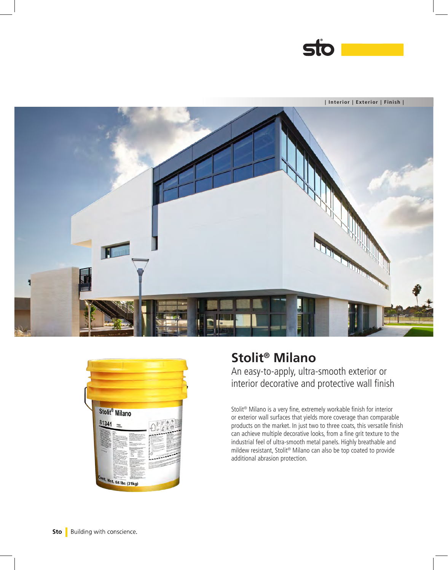





## **Stolit® Milano**  An easy-to-apply, ultra-smooth exterior or interior decorative and protective wall finish

Stolit® Milano is a very fine, extremely workable finish for interior or exterior wall surfaces that yields more coverage than comparable products on the market. In just two to three coats, this versatile finish can achieve multiple decorative looks, from a fine grit texture to the industrial feel of ultra-smooth metal panels. Highly breathable and mildew resistant, Stolit® Milano can also be top coated to provide additional abrasion protection.